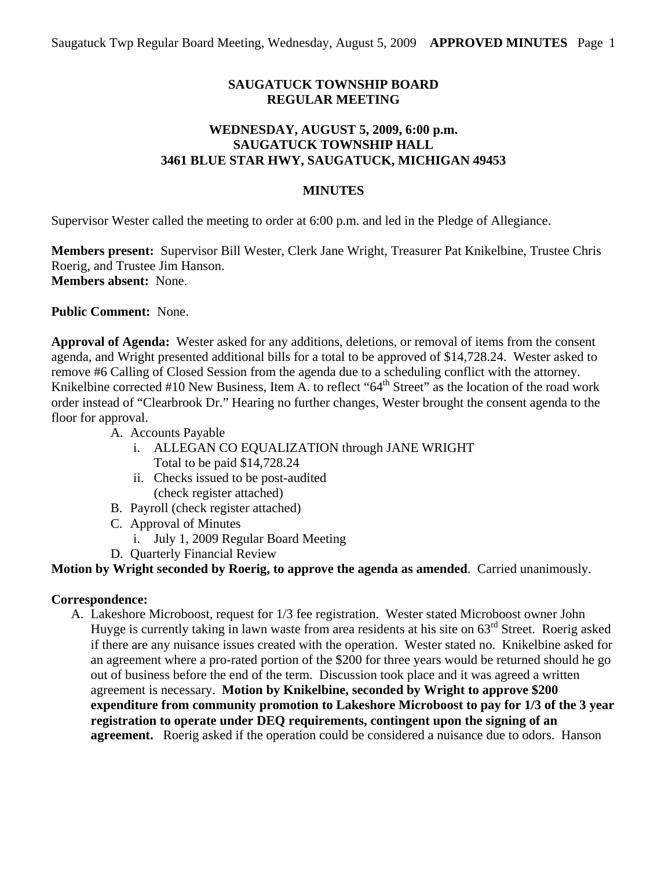# **SAUGATUCK TOWNSHIP BOARD REGULAR MEETING**

# **WEDNESDAY, AUGUST 5, 2009, 6:00 p.m. SAUGATUCK TOWNSHIP HALL 3461 BLUE STAR HWY, SAUGATUCK, MICHIGAN 49453**

### **MINUTES**

Supervisor Wester called the meeting to order at 6:00 p.m. and led in the Pledge of Allegiance.

**Members present:** Supervisor Bill Wester, Clerk Jane Wright, Treasurer Pat Knikelbine, Trustee Chris Roerig, and Trustee Jim Hanson. **Members absent:** None.

**Public Comment:** None.

**Approval of Agenda:** Wester asked for any additions, deletions, or removal of items from the consent agenda, and Wright presented additional bills for a total to be approved of \$14,728.24. Wester asked to remove #6 Calling of Closed Session from the agenda due to a scheduling conflict with the attorney. Knikelbine corrected #10 New Business, Item A. to reflect "64<sup>th</sup> Street" as the location of the road work order instead of "Clearbrook Dr." Hearing no further changes, Wester brought the consent agenda to the floor for approval.

- A. Accounts Payable
	- i. ALLEGAN CO EQUALIZATION through JANE WRIGHT Total to be paid \$14,728.24
	- ii. Checks issued to be post-audited (check register attached)
- B. Payroll (check register attached)
- C. Approval of Minutes
	- i. July 1, 2009 Regular Board Meeting
- D. Quarterly Financial Review

# **Motion by Wright seconded by Roerig, to approve the agenda as amended**. Carried unanimously.

#### **Correspondence:**

A. Lakeshore Microboost, request for 1/3 fee registration. Wester stated Microboost owner John Huyge is currently taking in lawn waste from area residents at his site on 63<sup>rd</sup> Street. Roerig asked if there are any nuisance issues created with the operation. Wester stated no. Knikelbine asked for an agreement where a pro-rated portion of the \$200 for three years would be returned should he go out of business before the end of the term. Discussion took place and it was agreed a written agreement is necessary. **Motion by Knikelbine, seconded by Wright to approve \$200 expenditure from community promotion to Lakeshore Microboost to pay for 1/3 of the 3 year registration to operate under DEQ requirements, contingent upon the signing of an agreement.** Roerig asked if the operation could be considered a nuisance due to odors. Hanson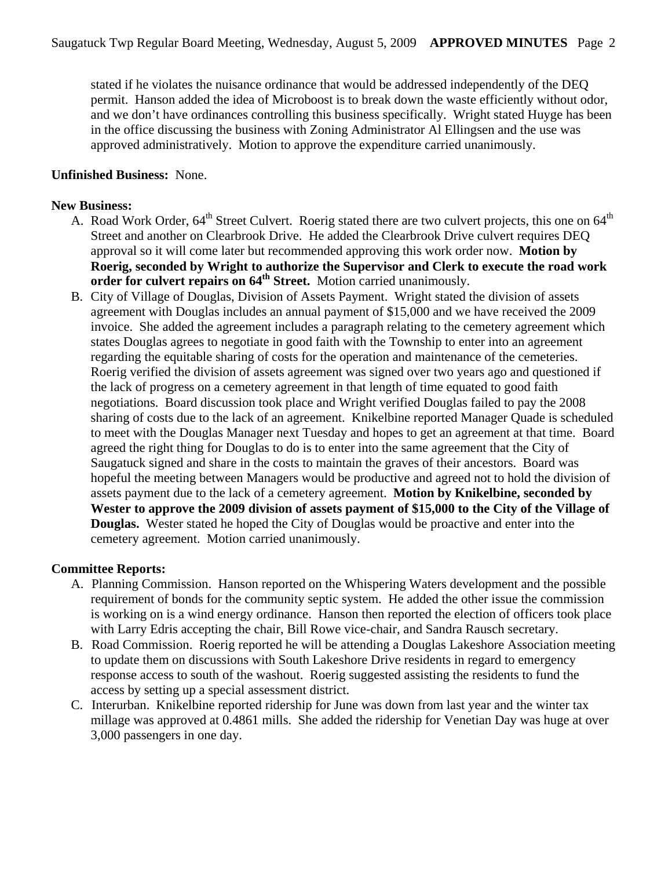stated if he violates the nuisance ordinance that would be addressed independently of the DEQ permit. Hanson added the idea of Microboost is to break down the waste efficiently without odor, and we don't have ordinances controlling this business specifically. Wright stated Huyge has been in the office discussing the business with Zoning Administrator Al Ellingsen and the use was approved administratively. Motion to approve the expenditure carried unanimously.

### **Unfinished Business:** None.

### **New Business:**

- A. Road Work Order, 64<sup>th</sup> Street Culvert. Roerig stated there are two culvert projects, this one on 64<sup>th</sup> Street and another on Clearbrook Drive. He added the Clearbrook Drive culvert requires DEQ approval so it will come later but recommended approving this work order now. **Motion by Roerig, seconded by Wright to authorize the Supervisor and Clerk to execute the road work**  order for culvert repairs on 64<sup>th</sup> Street. Motion carried unanimously.
- B. City of Village of Douglas, Division of Assets Payment. Wright stated the division of assets agreement with Douglas includes an annual payment of \$15,000 and we have received the 2009 invoice. She added the agreement includes a paragraph relating to the cemetery agreement which states Douglas agrees to negotiate in good faith with the Township to enter into an agreement regarding the equitable sharing of costs for the operation and maintenance of the cemeteries. Roerig verified the division of assets agreement was signed over two years ago and questioned if the lack of progress on a cemetery agreement in that length of time equated to good faith negotiations. Board discussion took place and Wright verified Douglas failed to pay the 2008 sharing of costs due to the lack of an agreement. Knikelbine reported Manager Quade is scheduled to meet with the Douglas Manager next Tuesday and hopes to get an agreement at that time. Board agreed the right thing for Douglas to do is to enter into the same agreement that the City of Saugatuck signed and share in the costs to maintain the graves of their ancestors. Board was hopeful the meeting between Managers would be productive and agreed not to hold the division of assets payment due to the lack of a cemetery agreement. **Motion by Knikelbine, seconded by Wester to approve the 2009 division of assets payment of \$15,000 to the City of the Village of Douglas.** Wester stated he hoped the City of Douglas would be proactive and enter into the cemetery agreement. Motion carried unanimously.

# **Committee Reports:**

- A. Planning Commission. Hanson reported on the Whispering Waters development and the possible requirement of bonds for the community septic system. He added the other issue the commission is working on is a wind energy ordinance. Hanson then reported the election of officers took place with Larry Edris accepting the chair, Bill Rowe vice-chair, and Sandra Rausch secretary.
- B. Road Commission. Roerig reported he will be attending a Douglas Lakeshore Association meeting to update them on discussions with South Lakeshore Drive residents in regard to emergency response access to south of the washout. Roerig suggested assisting the residents to fund the access by setting up a special assessment district.
- C. Interurban. Knikelbine reported ridership for June was down from last year and the winter tax millage was approved at 0.4861 mills. She added the ridership for Venetian Day was huge at over 3,000 passengers in one day.